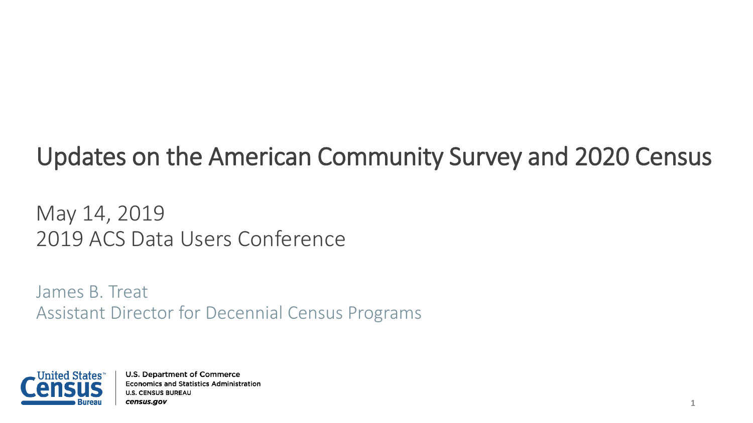# Updates on the American Community Survey and 2020 Census

May 14, 2019 2019 ACS Data Users Conference

James B. Treat Assistant Director for Decennial Census Programs

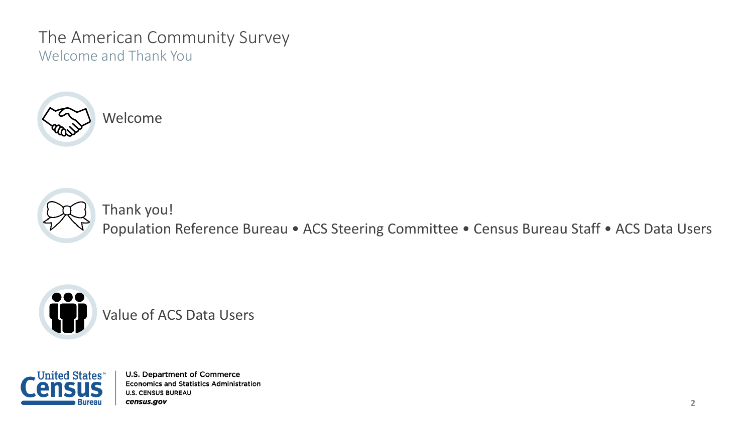## The American Community Survey Welcome and Thank You





Thank you! Population Reference Bureau • ACS Steering Committee • Census Bureau Staff • ACS Data Users



Value of ACS Data Users

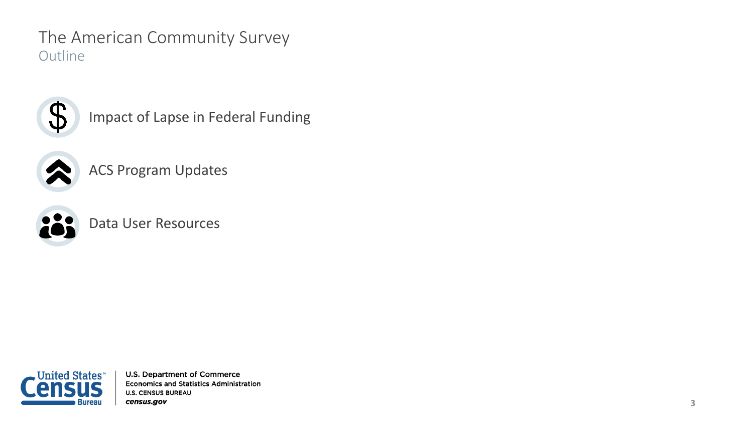The American Community Survey **Outline** 



Impact of Lapse in Federal Funding



ACS Program Updates



Data User Resources

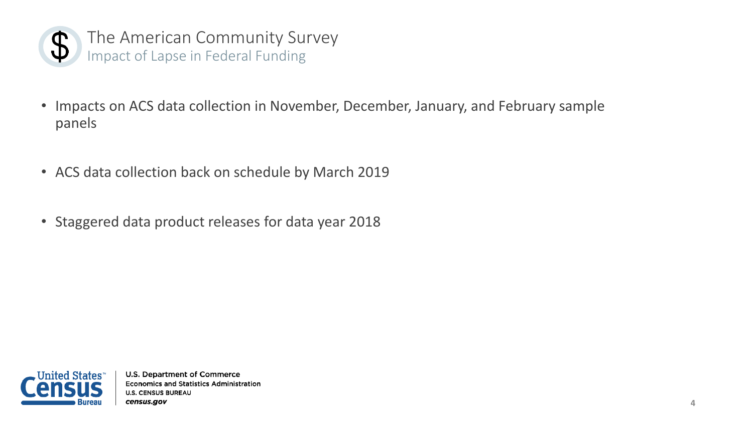

The American Community Survey Impact of Lapse in Federal Funding

- Impacts on ACS data collection in November, December, January, and February sample panels
- ACS data collection back on schedule by March 2019
- Staggered data product releases for data year 2018

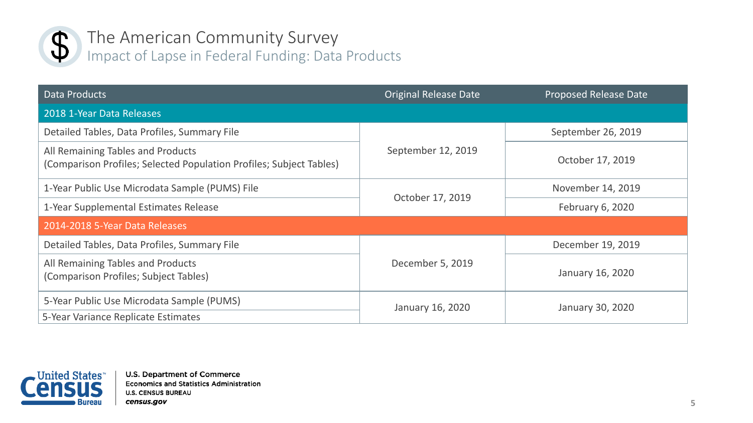

## The American Community Survey Impact of Lapse in Federal Funding: Data Products

| Data Products                                                                                            | <b>Original Release Date</b> | <b>Proposed Release Date</b> |
|----------------------------------------------------------------------------------------------------------|------------------------------|------------------------------|
| 2018 1-Year Data Releases                                                                                |                              |                              |
| Detailed Tables, Data Profiles, Summary File                                                             | September 12, 2019           | September 26, 2019           |
| All Remaining Tables and Products<br>(Comparison Profiles; Selected Population Profiles; Subject Tables) |                              | October 17, 2019             |
| 1-Year Public Use Microdata Sample (PUMS) File                                                           | October 17, 2019             | November 14, 2019            |
| 1-Year Supplemental Estimates Release                                                                    |                              | February 6, 2020             |
| 2014-2018 5-Year Data Releases                                                                           |                              |                              |
| Detailed Tables, Data Profiles, Summary File                                                             | December 5, 2019             | December 19, 2019            |
| All Remaining Tables and Products<br>(Comparison Profiles; Subject Tables)                               |                              | January 16, 2020             |
| 5-Year Public Use Microdata Sample (PUMS)<br>5-Year Variance Replicate Estimates                         | January 16, 2020             | January 30, 2020             |

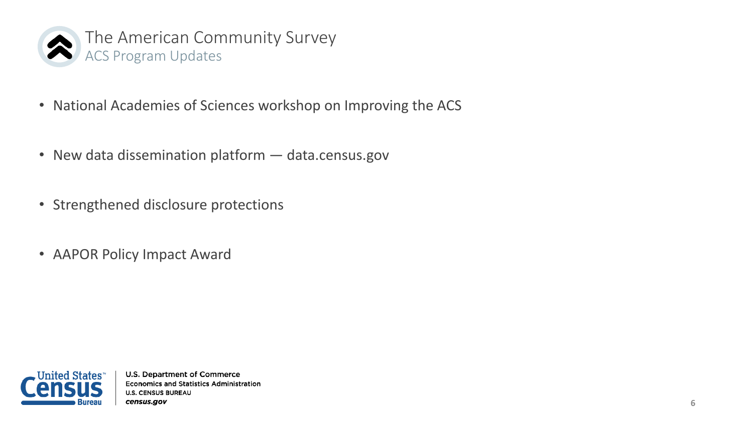

- National Academies of Sciences workshop on Improving the ACS
- New data dissemination platform data.census.gov
- Strengthened disclosure protections
- AAPOR Policy Impact Award

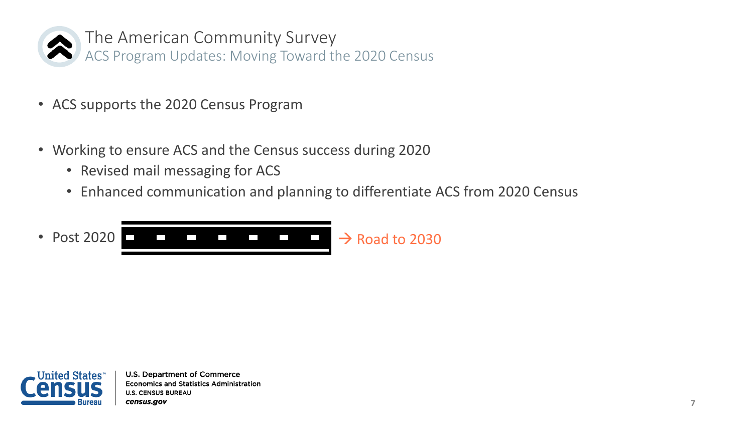

The American Community Survey ACS Program Updates: Moving Toward the 2020 Census

- ACS supports the 2020 Census Program
- Working to ensure ACS and the Census success during 2020
	- Revised mail messaging for ACS
	- Enhanced communication and planning to differentiate ACS from 2020 Census



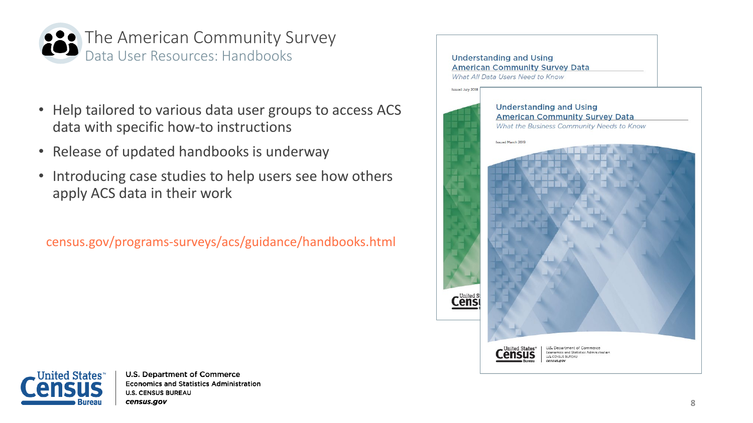

- Help tailored to various data user groups to access ACS data with specific how-to instructions
- Release of updated handbooks is underway
- Introducing case studies to help users see how others apply ACS data in their work

census.gov/programs-surveys/acs/guidance/handbooks.html



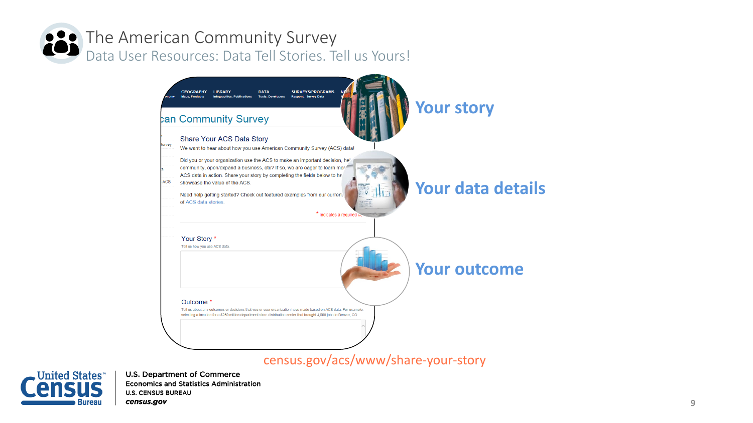## The American Community Survey Data User Resources: Data Tell Stories. Tell us Yours!



#### census.gov/acs/www/share-your-story

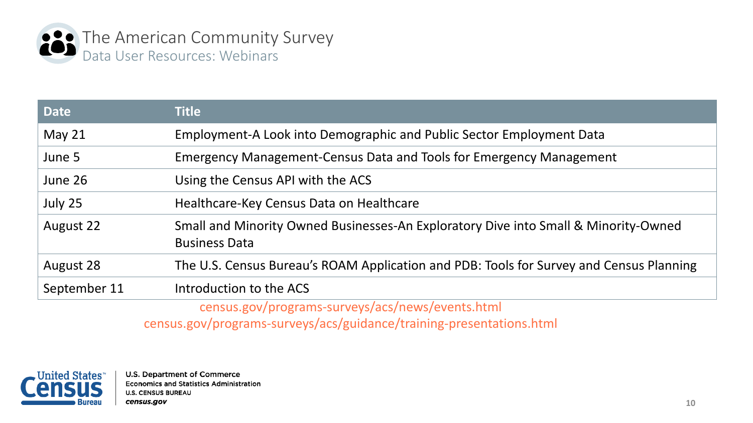

| <b>Date</b>  | <b>Title</b>                                                                                                |  |
|--------------|-------------------------------------------------------------------------------------------------------------|--|
| May $21$     | Employment-A Look into Demographic and Public Sector Employment Data                                        |  |
| June 5       | Emergency Management-Census Data and Tools for Emergency Management                                         |  |
| June 26      | Using the Census API with the ACS                                                                           |  |
| July 25      | Healthcare-Key Census Data on Healthcare                                                                    |  |
| August 22    | Small and Minority Owned Businesses-An Exploratory Dive into Small & Minority-Owned<br><b>Business Data</b> |  |
| August 28    | The U.S. Census Bureau's ROAM Application and PDB: Tools for Survey and Census Planning                     |  |
| September 11 | Introduction to the ACS                                                                                     |  |
|              | census.gov/programs-surveys/acs/news/events.html                                                            |  |

census.gov/programs-surveys/acs/guidance/training-presentations.html

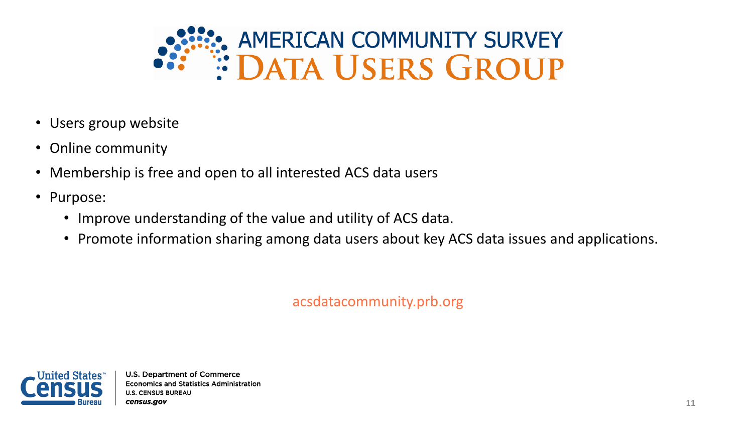

- Users group website
- Online community
- Membership is free and open to all interested ACS data users
- Purpose:
	- Improve understanding of the value and utility of ACS data.
	- Promote information sharing among data users about key ACS data issues and applications.

acsdatacommunity.prb.org